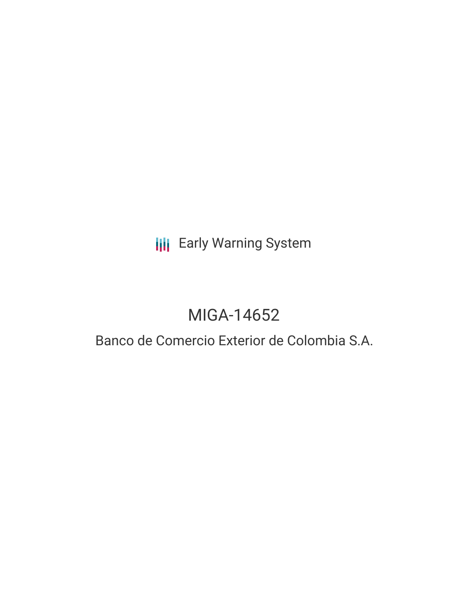## **III** Early Warning System

# MIGA-14652

### Banco de Comercio Exterior de Colombia S.A.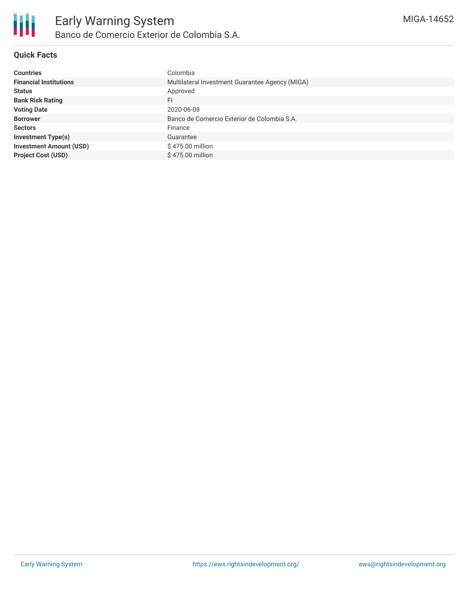### **Quick Facts**

| <b>Countries</b>               | Colombia                                        |
|--------------------------------|-------------------------------------------------|
| <b>Financial Institutions</b>  | Multilateral Investment Guarantee Agency (MIGA) |
| <b>Status</b>                  | Approved                                        |
| <b>Bank Risk Rating</b>        | FI                                              |
| <b>Voting Date</b>             | 2020-06-08                                      |
| <b>Borrower</b>                | Banco de Comercio Exterior de Colombia S.A.     |
| <b>Sectors</b>                 | Finance                                         |
| <b>Investment Type(s)</b>      | Guarantee                                       |
| <b>Investment Amount (USD)</b> | \$475.00 million                                |
| <b>Project Cost (USD)</b>      | \$475.00 million                                |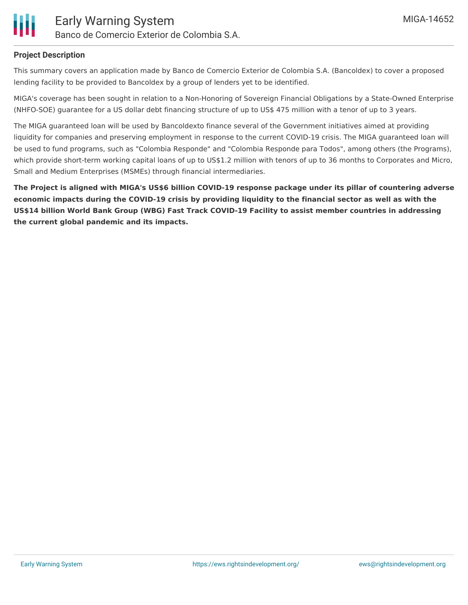

#### **Project Description**

This summary covers an application made by Banco de Comercio Exterior de Colombia S.A. (Bancoldex) to cover a proposed lending facility to be provided to Bancoldex by a group of lenders yet to be identified.

MIGA's coverage has been sought in relation to a Non-Honoring of Sovereign Financial Obligations by a State-Owned Enterprise (NHFO-SOE) guarantee for a US dollar debt financing structure of up to US\$ 475 million with a tenor of up to 3 years.

The MIGA guaranteed loan will be used by Bancoldexto finance several of the Government initiatives aimed at providing liquidity for companies and preserving employment in response to the current COVID-19 crisis. The MIGA guaranteed loan will be used to fund programs, such as "Colombia Responde" and "Colombia Responde para Todos", among others (the Programs), which provide short-term working capital loans of up to US\$1.2 million with tenors of up to 36 months to Corporates and Micro, Small and Medium Enterprises (MSMEs) through financial intermediaries.

The Project is aligned with MIGA's US\$6 billion COVID-19 response package under its pillar of countering adverse economic impacts during the COVID-19 crisis by providing liquidity to the financial sector as well as with the **US\$14 billion World Bank Group (WBG) Fast Track COVID-19 Facility to assist member countries in addressing the current global pandemic and its impacts.**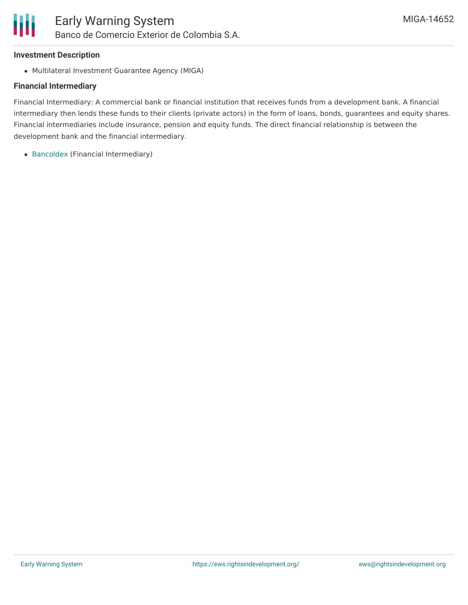#### **Investment Description**

Multilateral Investment Guarantee Agency (MIGA)

#### **Financial Intermediary**

Financial Intermediary: A commercial bank or financial institution that receives funds from a development bank. A financial intermediary then lends these funds to their clients (private actors) in the form of loans, bonds, guarantees and equity shares. Financial intermediaries include insurance, pension and equity funds. The direct financial relationship is between the development bank and the financial intermediary.

[Bancoldex](file:///actor/2567/) (Financial Intermediary)